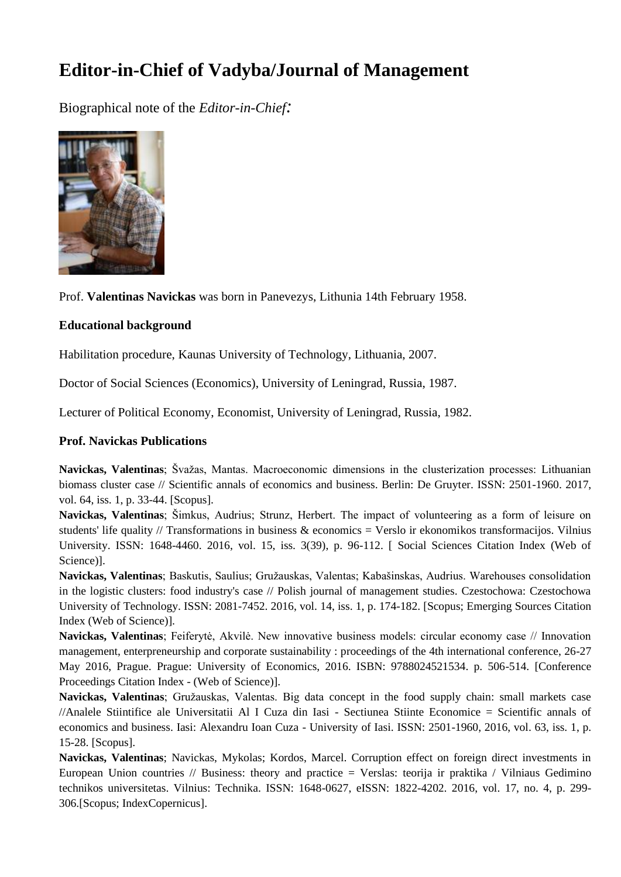## **Editor-in-Chief of Vadyba/Journal of Management**

Biographical note of the *Editor-in-Chief:*



Prof. **Valentinas Navickas** was born in Panevezys, Lithunia 14th February 1958.

## **Educational background**

Habilitation procedure, Kaunas University of Technology, Lithuania, 2007.

Doctor of Social Sciences (Economics), University of Leningrad, Russia, 1987.

Lecturer of Political Economy, Economist, University of Leningrad, Russia, 1982.

## **Prof. Navickas Publications**

**Navickas, Valentinas**; Švažas, Mantas. Macroeconomic dimensions in the clusterization processes: Lithuanian biomass cluster case // Scientific annals of economics and business. Berlin: De Gruyter. ISSN: 2501-1960. 2017, vol. 64, iss. 1, p. 33-44. [Scopus].

**Navickas, Valentinas**; Šimkus, Audrius; Strunz, Herbert. The impact of volunteering as a form of leisure on students' life quality // Transformations in business & economics = Verslo ir ekonomikos transformacijos. Vilnius University. ISSN: 1648-4460. 2016, vol. 15, iss. 3(39), p. 96-112. [ Social Sciences Citation Index (Web of Science)].

**Navickas, Valentinas**; Baskutis, Saulius; Gružauskas, Valentas; Kabašinskas, Audrius. Warehouses consolidation in the logistic clusters: food industry's case // Polish journal of management studies. Czestochowa: Czestochowa University of Technology. ISSN: 2081-7452. 2016, vol. 14, iss. 1, p. 174-182. [Scopus; Emerging Sources Citation Index (Web of Science)].

**Navickas, Valentinas**; Feiferytė, Akvilė. New innovative business models: circular economy case // Innovation management, enterpreneurship and corporate sustainability : proceedings of the 4th international conference, 26-27 May 2016, Prague. Prague: University of Economics, 2016. ISBN: 9788024521534. p. 506-514. [Conference Proceedings Citation Index - (Web of Science)].

**Navickas, Valentinas**; Gružauskas, Valentas. Big data concept in the food supply chain: small markets case //Analele Stiintifice ale Universitatii Al I Cuza din Iasi - Sectiunea Stiinte Economice = Scientific annals of economics and business. Iasi: Alexandru Ioan Cuza - University of Iasi. ISSN: 2501-1960, 2016, vol. 63, iss. 1, p. 15-28. [Scopus].

**Navickas, Valentinas**; Navickas, Mykolas; Kordos, Marcel. Corruption effect on foreign direct investments in European Union countries // Business: theory and practice = Verslas: teorija ir praktika / Vilniaus Gedimino technikos universitetas. Vilnius: Technika. ISSN: 1648-0627, eISSN: 1822-4202. 2016, vol. 17, no. 4, p. 299- 306.[Scopus; IndexCopernicus].